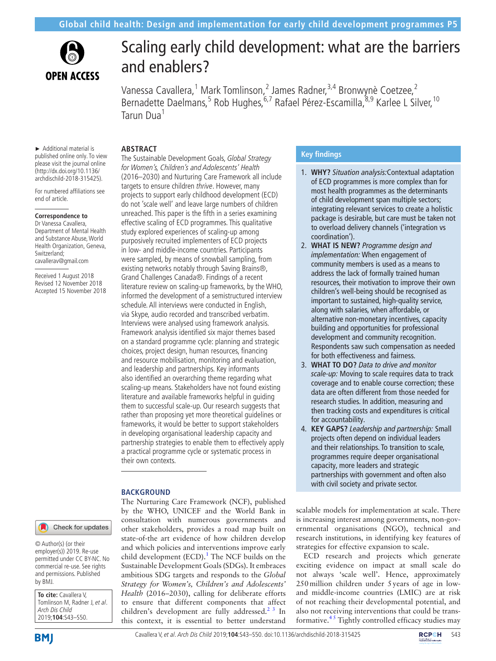

# Scaling early child development: what are the barriers and enablers?

Vanessa Cavallera,<sup>1</sup> Mark Tomlinson,<sup>2</sup> James Radner,<sup>3,4</sup> Bronwynè Coetzee,<sup>2</sup> Bernadette Daelmans,<sup>5</sup> Rob Hughes,<sup>6,7</sup> Rafael Pérez-Escamilla, 8,9 Karlee L Silver, <sup>10</sup> Tarun Dua1

#### ► Additional material is published online only. To view please visit the journal online (http://dx.doi.org/10.1136/

archdischild-2018-315425). For numbered affiliations see end of article.

#### **Correspondence to**

Dr Vanessa Cavallera, Department of Mental Health and Substance Abuse, World Health Organization, Geneva, Switzerland; cavallerav@gmail.com

Received 1 August 2018 Revised 12 November 2018 Accepted 15 November 2018 **Abstract**

The Sustainable Development Goals, Global Strategy for Women's, Children's and Adolescents' Health (2016–2030) and Nurturing Care Framework all include targets to ensure children thrive. However, many projects to support early childhood development (ECD) do not 'scale well' and leave large numbers of children unreached. This paper is the fifth in a series examining effective scaling of ECD programmes. This qualitative study explored experiences of scaling-up among purposively recruited implementers of ECD projects in low- and middle-income countries. Participants were sampled, by means of snowball sampling, from existing networks notably through Saving Brains®, Grand Challenges Canada®. Findings of a recent literature review on scaling-up frameworks, by the WHO, informed the development of a semistructured interview schedule. All interviews were conducted in English, via Skype, audio recorded and transcribed verbatim. Interviews were analysed using framework analysis. Framework analysis identified six major themes based on a standard programme cycle: planning and strategic choices, project design, human resources, financing and resource mobilisation, monitoring and evaluation, and leadership and partnerships. Key informants also identified an overarching theme regarding what scaling-up means. Stakeholders have not found existing literature and available frameworks helpful in guiding them to successful scale-up. Our research suggests that rather than proposing yet more theoretical guidelines or frameworks, it would be better to support stakeholders in developing organisational leadership capacity and partnership strategies to enable them to effectively apply a practical programme cycle or systematic process in their own contexts.

# **Background**

The Nurturing Care Framework (NCF), published by the WHO, UNICEF and the World Bank in consultation with numerous governments and other stakeholders, provides a road map built on state-of-the art evidence of how children develop and which policies and interventions improve early child development (ECD).<sup>[1](#page-7-0)</sup> The NCF builds on the Sustainable Development Goals (SDGs). It embraces ambitious SDG targets and responds to the *Global Strategy for Women's, Children's and Adolescents' Health* (2016–2030), calling for deliberate efforts to ensure that different components that affect children's development are fully addressed. $2^3$  In this context, it is essential to better understand

# **Key findings**

- 1. **WHY?** *Situation analysis:*Contextual adaptation of ECD programmes is more complex than for most health programmes as the determinants of child development span multiple sectors; integrating relevant services to create a holistic package is desirable, but care must be taken not to overload delivery channels ('integration vs coordination').
- 2. **WHAT IS NEW?** *Programme design and implementation:* When engagement of community members is used as a means to address the lack of formally trained human resources, their motivation to improve their own children's well-being should be recognised as important to sustained, high-quality service, along with salaries, when affordable, or alternative non-monetary incentives, capacity building and opportunities for professional development and community recognition. Respondents saw such compensation as needed for both effectiveness and fairness.
- 3. **WHAT TO DO?** *Data to drive and monitor scale-up:* Moving to scale requires data to track coverage and to enable course correction; these data are often different from those needed for research studies. In addition, measuring and then tracking costs and expenditures is critical for accountability.
- 4. **KEY GAPS?** *Leadership and partnership:* Small projects often depend on individual leaders and their relationships. To transition to scale, programmes require deeper organisational capacity, more leaders and strategic partnerships with government and often also with civil society and private sector.

scalable models for implementation at scale. There is increasing interest among governments, non-governmental organisations (NGO), technical and research institutions, in identifying key features of strategies for effective expansion to scale.

ECD research and projects which generate exciting evidence on impact at small scale do not always 'scale well'. Hence, approximately 250million children under 5years of age in lowand middle-income countries (LMIC) are at risk of not reaching their developmental potential, and also not receiving interventions that could be transformative.<sup>45</sup> Tightly controlled efficacy studies may

Check for updates

© Author(s) (or their employer(s)) 2019. Re-use permitted under CC BY-NC. No commercial re-use. See rights and permissions. Published by BMJ.

**To cite:** Cavallera V, Tomlinson M, Radner J, et al. Arch Dis Child 2019;**104**:S43–S50.

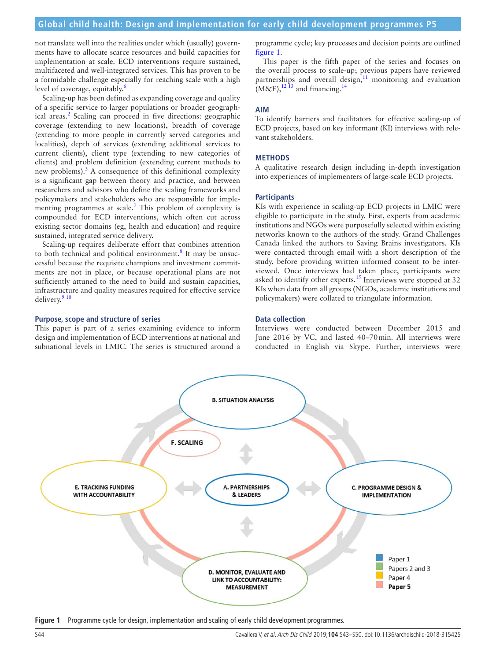# **Global child health: Design and implementation for early child development programmes P5**

not translate well into the realities under which (usually) governments have to allocate scarce resources and build capacities for implementation at scale. ECD interventions require sustained, multifaceted and well-integrated services. This has proven to be a formidable challenge especially for reaching scale with a high level of coverage, equitably.<sup>6</sup>

Scaling-up has been defined as expanding coverage and quality of a specific service to larger populations or broader geographical areas.<sup>2</sup> Scaling can proceed in five directions: geographic coverage (extending to new locations), breadth of coverage (extending to more people in currently served categories and localities), depth of services (extending additional services to current clients), client type (extending to new categories of clients) and problem definition (extending current methods to new problems).<sup>[3](#page-7-4)</sup> A consequence of this definitional complexity is a significant gap between theory and practice, and between researchers and advisors who define the scaling frameworks and policymakers and stakeholders who are responsible for imple-menting programmes at scale.<sup>[7](#page-7-5)</sup> This problem of complexity is compounded for ECD interventions, which often cut across existing sector domains (eg, health and education) and require sustained, integrated service delivery.

Scaling-up requires deliberate effort that combines attention to both technical and political environment.<sup>[8](#page-7-6)</sup> It may be unsuccessful because the requisite champions and investment commitments are not in place, or because operational plans are not sufficiently attuned to the need to build and sustain capacities, infrastructure and quality measures required for effective service delivery.<sup>9 10</sup>

# **Purpose, scope and structure of series**

This paper is part of a series examining evidence to inform design and implementation of ECD interventions at national and subnational levels in LMIC. The series is structured around a

programme cycle; key processes and decision points are outlined [figure](#page-1-0) 1.

This paper is the fifth paper of the series and focuses on the overall process to scale-up; previous papers have reviewed partnerships and overall design, $11$  monitoring and evaluation  $(M&E),<sup>12\overline{13}</sup>$  and financing.<sup>14</sup>

# **Aim**

To identify barriers and facilitators for effective scaling-up of ECD projects, based on key informant (KI) interviews with relevant stakeholders.

# **Methods**

A qualitative research design including in-depth investigation into experiences of implementers of large-scale ECD projects.

# **Participants**

KIs with experience in scaling-up ECD projects in LMIC were eligible to participate in the study. First, experts from academic institutions and NGOs were purposefully selected within existing networks known to the authors of the study. Grand Challenges Canada linked the authors to Saving Brains investigators. KIs were contacted through email with a short description of the study, before providing written informed consent to be interviewed. Once interviews had taken place, participants were asked to identify other experts.<sup>[15](#page-7-11)</sup> Interviews were stopped at 32 KIs when data from all groups (NGOs, academic institutions and policymakers) were collated to triangulate information.

# **Data collection**

Interviews were conducted between December 2015 and June 2016 by VC, and lasted 40–70min. All interviews were conducted in English via Skype. Further, interviews were



<span id="page-1-0"></span>**Figure 1** Programme cycle for design, implementation and scaling of early child development programmes.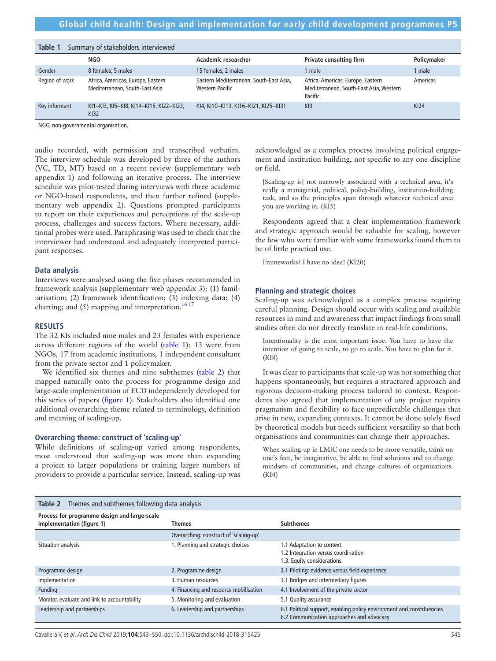<span id="page-2-0"></span>

| Table 1<br>Summary of stakeholders interviewed |                                                                     |                                                                   |                                                                                         |             |  |
|------------------------------------------------|---------------------------------------------------------------------|-------------------------------------------------------------------|-----------------------------------------------------------------------------------------|-------------|--|
|                                                | NGO.                                                                | Academic researcher                                               | <b>Private consulting firm</b>                                                          | Policymaker |  |
| Gender                                         | 8 females: 5 males                                                  | 15 females; 2 males                                               | 1 male                                                                                  | 1 male      |  |
| Region of work                                 | Africa, Americas, Europe, Eastern<br>Mediterranean, South-East Asia | Eastern Mediterranean, South-East Asia,<br><b>Western Pacific</b> | Africa, Americas, Europe, Eastern<br>Mediterranean, South-East Asia, Western<br>Pacific | Americas    |  |
| Key informant                                  | KI1-KI3, KI5-KI8, KI14-KI15, KI22-KI23,<br><b>KI32</b>              | KI4, KI10-KI13, KI16-KI21, KI25-KI31                              | K <sub>19</sub>                                                                         | KI24        |  |

NGO, non-governmental organisation.

audio recorded, with permission and transcribed verbatim. The interview schedule was developed by three of the authors (VC, TD, MT) based on a recent review [\(supplementary web](https://dx.doi.org/10.1136/archdischild-2018-315425)  [appendix 1](https://dx.doi.org/10.1136/archdischild-2018-315425)) and following an iterative process. The interview schedule was pilot-tested during interviews with three academic or NGO-based respondents, and then further refined ([supple](https://dx.doi.org/10.1136/archdischild-2018-315425)[mentary web appendix 2\)](https://dx.doi.org/10.1136/archdischild-2018-315425). Questions prompted participants to report on their experiences and perceptions of the scale-up process, challenges and success factors. Where necessary, additional probes were used. Paraphrasing was used to check that the interviewer had understood and adequately interpreted participant responses.

#### **Data analysis**

Interviews were analysed using the five phases recommended in framework analysis [\(supplementary web appendix 3\)](https://dx.doi.org/10.1136/archdischild-2018-315425): (1) familiarisation; (2) framework identification; (3) indexing data; (4) charting; and (5) mapping and interpretation.<sup>[16 17](#page-7-12)</sup>

### **Results**

The 32 KIs included nine males and 23 females with experience across different regions of the world ([table](#page-2-0) 1): 13 were from NGOs, 17 from academic institutions, 1 independent consultant from the private sector and 1 policymaker.

We identified six themes and nine subthemes [\(table](#page-2-1) 2) that mapped naturally onto the process for programme design and large-scale implementation of ECD independently developed for this series of papers [\(figure](#page-1-0) 1). Stakeholders also identified one additional overarching theme related to terminology, definition and meaning of scaling-up.

#### **Overarching theme: construct of 'scaling-up'**

<span id="page-2-1"></span>**Table 2** Themes and subthemes following data analysis

While definitions of scaling-up varied among respondents, most understood that scaling-up was more than expanding a project to larger populations or training larger numbers of providers to provide a particular service. Instead, scaling-up was

acknowledged as a complex process involving political engagement and institution building, not specific to any one discipline or field.

[Scaling-up is] not narrowly associated with a technical area, it's really a managerial, political, policy-building, institution-building task, and so the principles span through whatever technical area you are working in. (KI5)

Respondents agreed that a clear implementation framework and strategic approach would be valuable for scaling, however the few who were familiar with some frameworks found them to be of little practical use.

Frameworks? I have no idea! (KI20)

# **Planning and strategic choices**

Scaling-up was acknowledged as a complex process requiring careful planning. Design should occur with scaling and available resources in mind and awareness that impact findings from small studies often do not directly translate in real-life conditions.

Intentionality is the most important issue. You have to have the intention of going to scale, to go to scale. You have to plan for it. (KI8)

It was clear to participants that scale-up was not something that happens spontaneously, but requires a structured approach and rigorous decision-making process tailored to context. Respondents also agreed that implementation of any project requires pragmatism and flexibility to face unpredictable challenges that arise in new, expanding contexts. It cannot be done solely fixed by theoretical models but needs sufficient versatility so that both organisations and communities can change their approaches.

When scaling-up in LMIC one needs to be more versatile, think on one's feet, be imaginative, be able to find solutions and to change mindsets of communities, and change cultures of organizations. (KI4)

| Process for programme design and large-scale<br>implementation (figure 1) | Themes                                 | <b>Subthemes</b>                                                                                                   |  |  |  |
|---------------------------------------------------------------------------|----------------------------------------|--------------------------------------------------------------------------------------------------------------------|--|--|--|
|                                                                           | Overarching: construct of 'scaling-up' |                                                                                                                    |  |  |  |
| Situation analysis                                                        | I. Planning and strategic choices      | 1.1 Adaptation to context<br>1.2 Integration versus coordination<br>1.3. Equity considerations                     |  |  |  |
| Programme design                                                          | 2. Programme design                    | 2.1 Piloting: evidence versus field experience                                                                     |  |  |  |
| Implementation                                                            | 3. Human resources                     | 3.1 Bridges and intermediary figures                                                                               |  |  |  |
| Funding                                                                   | 4. Financing and resource mobilisation | 4.1 Involvement of the private sector                                                                              |  |  |  |
| Monitor, evaluate and link to accountability                              | 5. Monitoring and evaluation           | 5.1 Quality assurance                                                                                              |  |  |  |
| Leadership and partnerships                                               | 6. Leadership and partnerships         | 6.1 Political support, enabling policy environment and constituencies<br>6.2 Communication approaches and advocacy |  |  |  |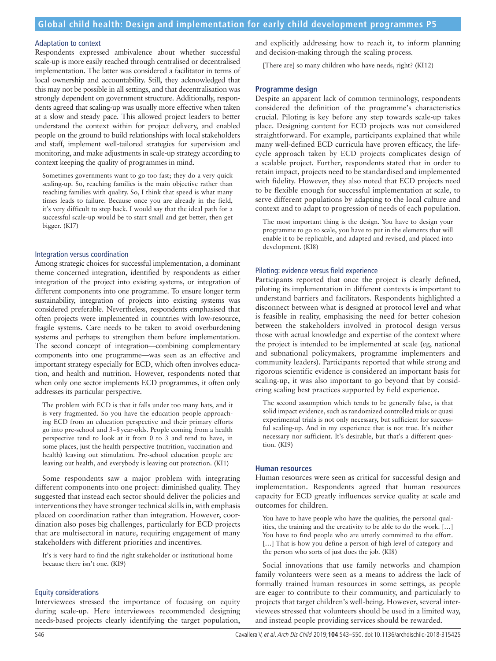# Adaptation to context

Respondents expressed ambivalence about whether successful scale-up is more easily reached through centralised or decentralised implementation. The latter was considered a facilitator in terms of local ownership and accountability. Still, they acknowledged that this may not be possible in all settings, and that decentralisation was strongly dependent on government structure. Additionally, respondents agreed that scaling-up was usually more effective when taken at a slow and steady pace. This allowed project leaders to better understand the context within for project delivery, and enabled people on the ground to build relationships with local stakeholders and staff, implement well-tailored strategies for supervision and monitoring, and make adjustments in scale-up strategy according to context keeping the quality of programmes in mind.

Sometimes governments want to go too fast; they do a very quick scaling-up. So, reaching families is the main objective rather than reaching families with quality. So, I think that speed is what many times leads to failure. Because once you are already in the field, it's very difficult to step back. I would say that the ideal path for a successful scale-up would be to start small and get better, then get bigger. (KI7)

#### Integration versus coordination

Among strategic choices for successful implementation, a dominant theme concerned integration, identified by respondents as either integration of the project into existing systems, or integration of different components into one programme. To ensure longer term sustainability, integration of projects into existing systems was considered preferable. Nevertheless, respondents emphasised that often projects were implemented in countries with low-resource, fragile systems. Care needs to be taken to avoid overburdening systems and perhaps to strengthen them before implementation. The second concept of integration—combining complementary components into one programme—was seen as an effective and important strategy especially for ECD, which often involves education, and health and nutrition. However, respondents noted that when only one sector implements ECD programmes, it often only addresses its particular perspective.

The problem with ECD is that it falls under too many hats, and it is very fragmented. So you have the education people approaching ECD from an education perspective and their primary efforts go into pre-school and 3–8year-olds. People coming from a health perspective tend to look at it from 0 to 3 and tend to have, in some places, just the health perspective (nutrition, vaccination and health) leaving out stimulation. Pre-school education people are leaving out health, and everybody is leaving out protection. (KI1)

Some respondents saw a major problem with integrating different components into one project: diminished quality. They suggested that instead each sector should deliver the policies and interventions they have stronger technical skills in, with emphasis placed on coordination rather than integration. However, coordination also poses big challenges, particularly for ECD projects that are multisectoral in nature, requiring engagement of many stakeholders with different priorities and incentives.

It's is very hard to find the right stakeholder or institutional home because there isn't one. (KI9)

# Equity considerations

Interviewees stressed the importance of focusing on equity during scale-up. Here interviewees recommended designing needs-based projects clearly identifying the target population,

and explicitly addressing how to reach it, to inform planning and decision-making through the scaling process.

[There are] so many children who have needs, right? (KI12)

# **Programme design**

Despite an apparent lack of common terminology, respondents considered the definition of the programme's characteristics crucial. Piloting is key before any step towards scale-up takes place. Designing content for ECD projects was not considered straightforward. For example, participants explained that while many well-defined ECD curricula have proven efficacy, the lifecycle approach taken by ECD projects complicates design of a scalable project. Further, respondents stated that in order to retain impact, projects need to be standardised and implemented with fidelity. However, they also noted that ECD projects need to be flexible enough for successful implementation at scale, to serve different populations by adapting to the local culture and context and to adapt to progression of needs of each population.

The most important thing is the design. You have to design your programme to go to scale, you have to put in the elements that will enable it to be replicable, and adapted and revised, and placed into development. (KI8)

#### Piloting: evidence versus field experience

Participants reported that once the project is clearly defined, piloting its implementation in different contexts is important to understand barriers and facilitators. Respondents highlighted a disconnect between what is designed at protocol level and what is feasible in reality, emphasising the need for better cohesion between the stakeholders involved in protocol design versus those with actual knowledge and expertise of the context where the project is intended to be implemented at scale (eg, national and subnational policymakers, programme implementers and community leaders). Participants reported that while strong and rigorous scientific evidence is considered an important basis for scaling-up, it was also important to go beyond that by considering scaling best practices supported by field experience.

The second assumption which tends to be generally false, is that solid impact evidence, such as randomized controlled trials or quasi experimental trials is not only necessary, but sufficient for successful scaling-up. And in my experience that is not true. It's neither necessary nor sufficient. It's desirable, but that's a different question. (KI9)

#### **Human resources**

Human resources were seen as critical for successful design and implementation. Respondents agreed that human resources capacity for ECD greatly influences service quality at scale and outcomes for children.

You have to have people who have the qualities, the personal qualities, the training and the creativity to be able to do the work. […] You have to find people who are utterly committed to the effort. [...] That is how you define a person of high level of category and the person who sorts of just does the job. (KI8)

Social innovations that use family networks and champion family volunteers were seen as a means to address the lack of formally trained human resources in some settings, as people are eager to contribute to their community, and particularly to projects that target children's well-being. However, several interviewees stressed that volunteers should be used in a limited way, and instead people providing services should be rewarded.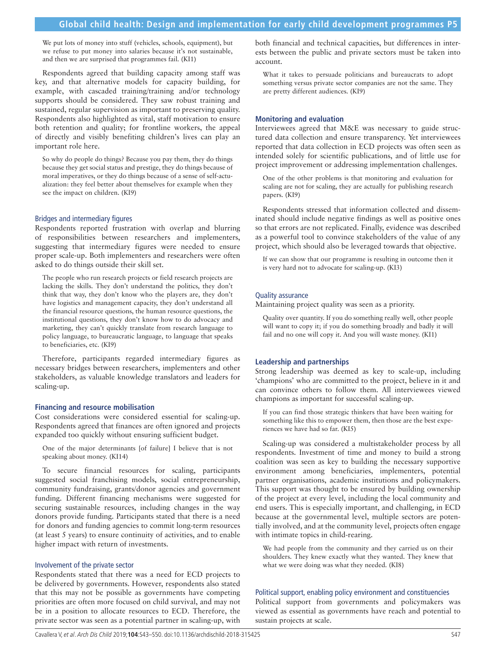We put lots of money into stuff (vehicles, schools, equipment), but we refuse to put money into salaries because it's not sustainable, and then we are surprised that programmes fail. (KI1)

Respondents agreed that building capacity among staff was key, and that alternative models for capacity building, for example, with cascaded training/training and/or technology supports should be considered. They saw robust training and sustained, regular supervision as important to preserving quality. Respondents also highlighted as vital, staff motivation to ensure both retention and quality; for frontline workers, the appeal of directly and visibly benefiting children's lives can play an important role here.

So why do people do things? Because you pay them, they do things because they get social status and prestige, they do things because of moral imperatives, or they do things because of a sense of self-actualization: they feel better about themselves for example when they see the impact on children. (KI9)

# Bridges and intermediary figures

Respondents reported frustration with overlap and blurring of responsibilities between researchers and implementers, suggesting that intermediary figures were needed to ensure proper scale-up. Both implementers and researchers were often asked to do things outside their skill set.

The people who run research projects or field research projects are lacking the skills. They don't understand the politics, they don't think that way, they don't know who the players are, they don't have logistics and management capacity, they don't understand all the financial resource questions, the human resource questions, the institutional questions, they don't know how to do advocacy and marketing, they can't quickly translate from research language to policy language, to bureaucratic language, to language that speaks to beneficiaries, etc. (KI9)

Therefore, participants regarded intermediary figures as necessary bridges between researchers, implementers and other stakeholders, as valuable knowledge translators and leaders for scaling-up.

# **Financing and resource mobilisation**

Cost considerations were considered essential for scaling-up. Respondents agreed that finances are often ignored and projects expanded too quickly without ensuring sufficient budget.

One of the major determinants [of failure] I believe that is not speaking about money. (KI14)

To secure financial resources for scaling, participants suggested social franchising models, social entrepreneurship, community fundraising, grants/donor agencies and government funding. Different financing mechanisms were suggested for securing sustainable resources, including changes in the way donors provide funding. Participants stated that there is a need for donors and funding agencies to commit long-term resources (at least 5 years) to ensure continuity of activities, and to enable higher impact with return of investments.

#### Involvement of the private sector

Respondents stated that there was a need for ECD projects to be delivered by governments. However, respondents also stated that this may not be possible as governments have competing priorities are often more focused on child survival, and may not be in a position to allocate resources to ECD. Therefore, the private sector was seen as a potential partner in scaling-up, with

both financial and technical capacities, but differences in interests between the public and private sectors must be taken into account.

What it takes to persuade politicians and bureaucrats to adopt something versus private sector companies are not the same. They are pretty different audiences. (KI9)

#### **Monitoring and evaluation**

Interviewees agreed that M&E was necessary to guide structured data collection and ensure transparency. Yet interviewees reported that data collection in ECD projects was often seen as intended solely for scientific publications, and of little use for project improvement or addressing implementation challenges.

One of the other problems is that monitoring and evaluation for scaling are not for scaling, they are actually for publishing research papers. (KI9)

Respondents stressed that information collected and disseminated should include negative findings as well as positive ones so that errors are not replicated. Finally, evidence was described as a powerful tool to convince stakeholders of the value of any project, which should also be leveraged towards that objective.

If we can show that our programme is resulting in outcome then it is very hard not to advocate for scaling-up. (KI3)

# Quality assurance

Maintaining project quality was seen as a priority.

Quality over quantity. If you do something really well, other people will want to copy it; if you do something broadly and badly it will fail and no one will copy it. And you will waste money. (KI1)

# **Leadership and partnerships**

Strong leadership was deemed as key to scale-up, including 'champions' who are committed to the project, believe in it and can convince others to follow them. All interviewees viewed champions as important for successful scaling-up.

If you can find those strategic thinkers that have been waiting for something like this to empower them, then those are the best experiences we have had so far. (KI5)

Scaling-up was considered a multistakeholder process by all respondents. Investment of time and money to build a strong coalition was seen as key to building the necessary supportive environment among beneficiaries, implementers, potential partner organisations, academic institutions and policymakers. This support was thought to be ensured by building ownership of the project at every level, including the local community and end users. This is especially important, and challenging, in ECD because at the governmental level, multiple sectors are potentially involved, and at the community level, projects often engage with intimate topics in child-rearing.

We had people from the community and they carried us on their shoulders. They knew exactly what they wanted. They knew that what we were doing was what they needed. (KI8)

Political support, enabling policy environment and constituencies Political support from governments and policymakers was viewed as essential as governments have reach and potential to sustain projects at scale.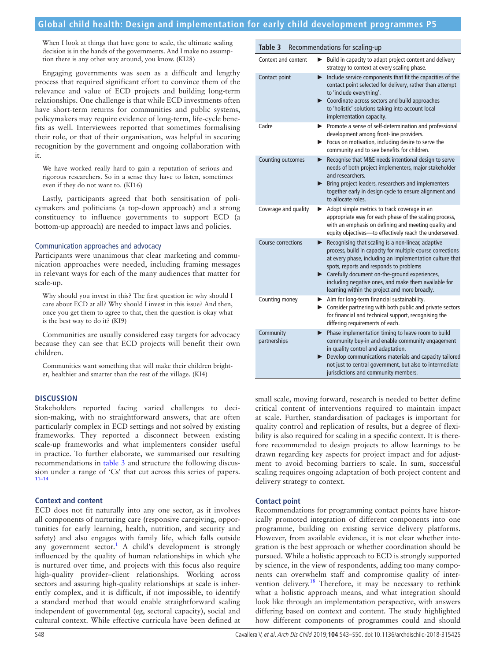# **Global child health: Design and implementation for early child development programmes P5**

When I look at things that have gone to scale, the ultimate scaling decision is in the hands of the governments. And I make no assumption there is any other way around, you know. (KI28)

Engaging governments was seen as a difficult and lengthy process that required significant effort to convince them of the relevance and value of ECD projects and building long-term relationships. One challenge is that while ECD investments often have short-term returns for communities and public systems, policymakers may require evidence of long-term, life-cycle benefits as well. Interviewees reported that sometimes formalising their role, or that of their organisation, was helpful in securing recognition by the government and ongoing collaboration with it.

We have worked really hard to gain a reputation of serious and rigorous researchers. So in a sense they have to listen, sometimes even if they do not want to. (KI16)

Lastly, participants agreed that both sensitisation of policymakers and politicians (a top-down approach) and a strong constituency to influence governments to support ECD (a bottom-up approach) are needed to impact laws and policies.

# Communication approaches and advocacy

Participants were unanimous that clear marketing and communication approaches were needed, including framing messages in relevant ways for each of the many audiences that matter for scale-up.

Why should you invest in this? The first question is: why should I care about ECD at all? Why should I invest in this issue? And then, once you get them to agree to that, then the question is okay what is the best way to do it? (KI9)

Communities are usually considered easy targets for advocacy because they can see that ECD projects will benefit their own children.

Communities want something that will make their children brighter, healthier and smarter than the rest of the village. (KI4)

# **Discussion**

Stakeholders reported facing varied challenges to decision-making, with no straightforward answers, that are often particularly complex in ECD settings and not solved by existing frameworks. They reported a disconnect between existing scale-up frameworks and what implementers consider useful in practice. To further elaborate, we summarised our resulting recommendations in [table](#page-5-0) 3 and structure the following discussion under a range of 'Cs' that cut across this series of papers. [11–14](#page-7-8)

# **Context and content**

ECD does not fit naturally into any one sector, as it involves all components of nurturing care (responsive caregiving, opportunities for early learning, health, nutrition, and security and safety) and also engages with family life, which falls outside any government sector.<sup>[1](#page-7-0)</sup> A child's development is strongly influenced by the quality of human relationships in which s/he is nurtured over time, and projects with this focus also require high-quality provider–client relationships. Working across sectors and assuring high-quality relationships at scale is inherently complex, and it is difficult, if not impossible, to identify a standard method that would enable straightforward scaling independent of governmental (eg, sectoral capacity), social and cultural context. While effective curricula have been defined at

<span id="page-5-0"></span>

| Recommendations for scaling-up<br>Table 3 |                                                                                                                                                                                                                                                                                                                                                                                   |  |  |  |
|-------------------------------------------|-----------------------------------------------------------------------------------------------------------------------------------------------------------------------------------------------------------------------------------------------------------------------------------------------------------------------------------------------------------------------------------|--|--|--|
| Context and content<br>▶                  | Build in capacity to adapt project content and delivery<br>strategy to context at every scaling phase.                                                                                                                                                                                                                                                                            |  |  |  |
| Contact point<br>▶                        | Include service components that fit the capacities of the<br>contact point selected for delivery, rather than attempt<br>to 'include everything'.<br>▶ Coordinate across sectors and build approaches<br>to 'holistic' solutions taking into account local<br>implementation capacity.                                                                                            |  |  |  |
| Cadre<br>▶<br>▶                           | Promote a sense of self-determination and professional<br>development among front-line providers.<br>Focus on motivation, including desire to serve the<br>community and to see benefits for children.                                                                                                                                                                            |  |  |  |
| Counting outcomes<br>▶<br>▶               | Recognise that M&E needs intentional design to serve<br>needs of both project implementers, major stakeholder<br>and researchers.<br>Bring project leaders, researchers and implementers<br>together early in design cycle to ensure alignment and<br>to allocate roles.                                                                                                          |  |  |  |
| Coverage and quality<br>▶                 | Adopt simple metrics to track coverage in an<br>appropriate way for each phase of the scaling process,<br>with an emphasis on defining and meeting quality and<br>equity objectives-to effectively reach the underserved.                                                                                                                                                         |  |  |  |
| Course corrections<br>▶<br>▶              | Recognising that scaling is a non-linear, adaptive<br>process, build in capacity for multiple course corrections<br>at every phase, including an implementation culture that<br>spots, reports and responds to problems<br>Carefully document on-the-ground experiences,<br>including negative ones, and make them available for<br>learning within the project and more broadly. |  |  |  |
| Counting money<br>▶                       | Aim for long-term financial sustainability.<br>Consider partnering with both public and private sectors<br>for financial and technical support, recognising the<br>differing requirements of each.                                                                                                                                                                                |  |  |  |
| Community<br>▶<br>partnerships<br>▶       | Phase implementation timing to leave room to build<br>community buy-in and enable community engagement<br>in quality control and adaptation.<br>Develop communications materials and capacity tailored<br>not just to central government, but also to intermediate<br>jurisdictions and community members.                                                                        |  |  |  |

small scale, moving forward, research is needed to better define critical content of interventions required to maintain impact at scale. Further, standardisation of packages is important for quality control and replication of results, but a degree of flexibility is also required for scaling in a specific context. It is therefore recommended to design projects to allow learnings to be drawn regarding key aspects for project impact and for adjustment to avoid becoming barriers to scale. In sum, successful scaling requires ongoing adaptation of both project content and delivery strategy to context.

# **Contact point**

Recommendations for programming contact points have historically promoted integration of different components into one programme, building on existing service delivery platforms. However, from available evidence, it is not clear whether integration is the best approach or whether coordination should be pursued. While a holistic approach to ECD is strongly supported by science, in the view of respondents, adding too many components can overwhelm staff and compromise quality of intervention delivery.<sup>18</sup> Therefore, it may be necessary to rethink what a holistic approach means, and what integration should look like through an implementation perspective, with answers differing based on context and content. The study highlighted how different components of programmes could and should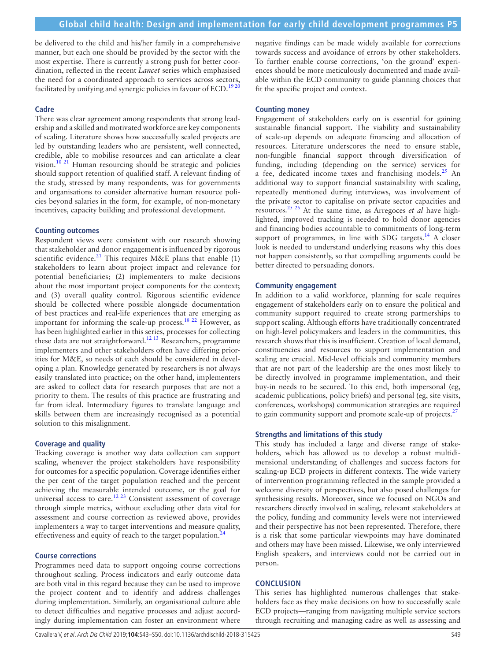be delivered to the child and his/her family in a comprehensive manner, but each one should be provided by the sector with the most expertise. There is currently a strong push for better coordination, reflected in the recent *Lancet* series which emphasised the need for a coordinated approach to services across sectors, facilitated by unifying and synergic policies in favour of ECD.<sup>1920</sup>

# **Cadre**

There was clear agreement among respondents that strong leadership and a skilled and motivated workforce are key components of scaling. Literature shows how successfully scaled projects are led by outstanding leaders who are persistent, well connected, credible, able to mobilise resources and can articulate a clear vision.<sup>[10 21](#page-7-15)</sup> Human resourcing should be strategic and policies should support retention of qualified staff. A relevant finding of the study, stressed by many respondents, was for governments and organisations to consider alternative human resource policies beyond salaries in the form, for example, of non-monetary incentives, capacity building and professional development.

# **Counting outcomes**

Respondent views were consistent with our research showing that stakeholder and donor engagement is influenced by rigorous scientific evidence.<sup>21</sup> This requires M&E plans that enable  $(1)$ stakeholders to learn about project impact and relevance for potential beneficiaries; (2) implementers to make decisions about the most important project components for the context; and (3) overall quality control. Rigorous scientific evidence should be collected where possible alongside documentation of best practices and real-life experiences that are emerging as important for informing the scale-up process.<sup>18 22</sup> However, as has been highlighted earlier in this series, processes for collecting these data are not straightforward.<sup>12 13</sup> Researchers, programme implementers and other stakeholders often have differing priorities for M&E, so needs of each should be considered in developing a plan. Knowledge generated by researchers is not always easily translated into practice; on the other hand, implementers are asked to collect data for research purposes that are not a priority to them. The results of this practice are frustrating and far from ideal. Intermediary figures to translate language and skills between them are increasingly recognised as a potential solution to this misalignment.

# **Coverage and quality**

Tracking coverage is another way data collection can support scaling, whenever the project stakeholders have responsibility for outcomes for a specific population. Coverage identifies either the per cent of the target population reached and the percent achieving the measurable intended outcome, or the goal for universal access to care.<sup>[12 23](#page-7-9)</sup> Consistent assessment of coverage through simple metrics, without excluding other data vital for assessment and course correction as reviewed above, provides implementers a way to target interventions and measure quality, effectiveness and equity of reach to the target population.<sup>24</sup>

# **Course corrections**

Programmes need data to support ongoing course corrections throughout scaling. Process indicators and early outcome data are both vital in this regard because they can be used to improve the project content and to identify and address challenges during implementation. Similarly, an organisational culture able to detect difficulties and negative processes and adjust accordingly during implementation can foster an environment where

negative findings can be made widely available for corrections towards success and avoidance of errors by other stakeholders. To further enable course corrections, 'on the ground' experiences should be more meticulously documented and made available within the ECD community to guide planning choices that fit the specific project and context.

## **Counting money**

Engagement of stakeholders early on is essential for gaining sustainable financial support. The viability and sustainability of scale-up depends on adequate financing and allocation of resources. Literature underscores the need to ensure stable, non-fungible financial support through diversification of funding, including (depending on the service) services for a fee, dedicated income taxes and franchising models. $25$  An additional way to support financial sustainability with scaling, repeatedly mentioned during interviews, was involvement of the private sector to capitalise on private sector capacities and resources.[25 26](#page-7-18) At the same time, as Arregoces *et al* have highlighted, improved tracking is needed to hold donor agencies and financing bodies accountable to commitments of long-term support of programmes, in line with SDG targets.<sup>[14](#page-7-10)</sup> A closer look is needed to understand underlying reasons why this does not happen consistently, so that compelling arguments could be better directed to persuading donors.

#### **Community engagement**

In addition to a valid workforce, planning for scale requires engagement of stakeholders early on to ensure the political and community support required to create strong partnerships to support scaling. Although efforts have traditionally concentrated on high-level policymakers and leaders in the communities, this research shows that this is insufficient. Creation of local demand, constituencies and resources to support implementation and scaling are crucial. Mid-level officials and community members that are not part of the leadership are the ones most likely to be directly involved in programme implementation, and their buy-in needs to be secured. To this end, both impersonal (eg, academic publications, policy briefs) and personal (eg, site visits, conferences, workshops) communication strategies are required to gain community support and promote scale-up of projects.<sup>[27](#page-7-19)</sup>

# **Strengths and limitations of this study**

This study has included a large and diverse range of stakeholders, which has allowed us to develop a robust multidimensional understanding of challenges and success factors for scaling-up ECD projects in different contexts. The wide variety of intervention programming reflected in the sample provided a welcome diversity of perspectives, but also posed challenges for synthesising results. Moreover, since we focused on NGOs and researchers directly involved in scaling, relevant stakeholders at the policy, funding and community levels were not interviewed and their perspective has not been represented. Therefore, there is a risk that some particular viewpoints may have dominated and others may have been missed. Likewise, we only interviewed English speakers, and interviews could not be carried out in person.

# **Conclusion**

This series has highlighted numerous challenges that stakeholders face as they make decisions on how to successfully scale ECD projects—ranging from navigating multiple service sectors through recruiting and managing cadre as well as assessing and